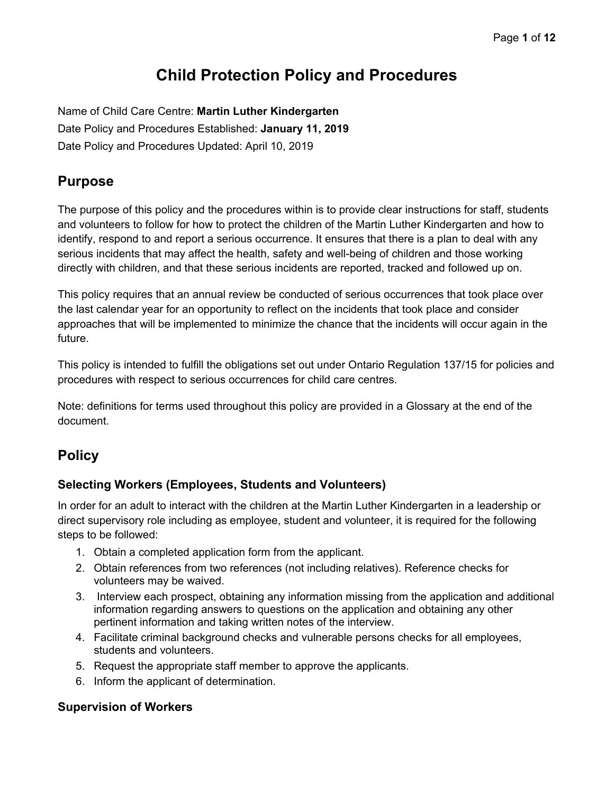# **Child Protection Policy and Procedures**

Name of Child Care Centre: **Martin Luther Kindergarten** Date Policy and Procedures Established: **January 11, 2019** Date Policy and Procedures Updated: April 10, 2019

# **Purpose**

The purpose of this policy and the procedures within is to provide clear instructions for staff, students and volunteers to follow for how to protect the children of the Martin Luther Kindergarten and how to identify, respond to and report a serious occurrence. It ensures that there is a plan to deal with any serious incidents that may affect the health, safety and well-being of children and those working directly with children, and that these serious incidents are reported, tracked and followed up on.

This policy requires that an annual review be conducted of serious occurrences that took place over the last calendar year for an opportunity to reflect on the incidents that took place and consider approaches that will be implemented to minimize the chance that the incidents will occur again in the future.

This policy is intended to fulfill the obligations set out under Ontario Regulation 137/15 for policies and procedures with respect to serious occurrences for child care centres.

Note: definitions for terms used throughout this policy are provided in a Glossary at the end of the document.

# **Policy**

## **Selecting Workers (Employees, Students and Volunteers)**

In order for an adult to interact with the children at the Martin Luther Kindergarten in a leadership or direct supervisory role including as employee, student and volunteer, it is required for the following steps to be followed:

- 1. Obtain a completed application form from the applicant.
- 2. Obtain references from two references (not including relatives). Reference checks for volunteers may be waived.
- 3. Interview each prospect, obtaining any information missing from the application and additional information regarding answers to questions on the application and obtaining any other pertinent information and taking written notes of the interview.
- 4. Facilitate criminal background checks and vulnerable persons checks for all employees, students and volunteers.
- 5. Request the appropriate staff member to approve the applicants.
- 6. Inform the applicant of determination.

## **Supervision of Workers**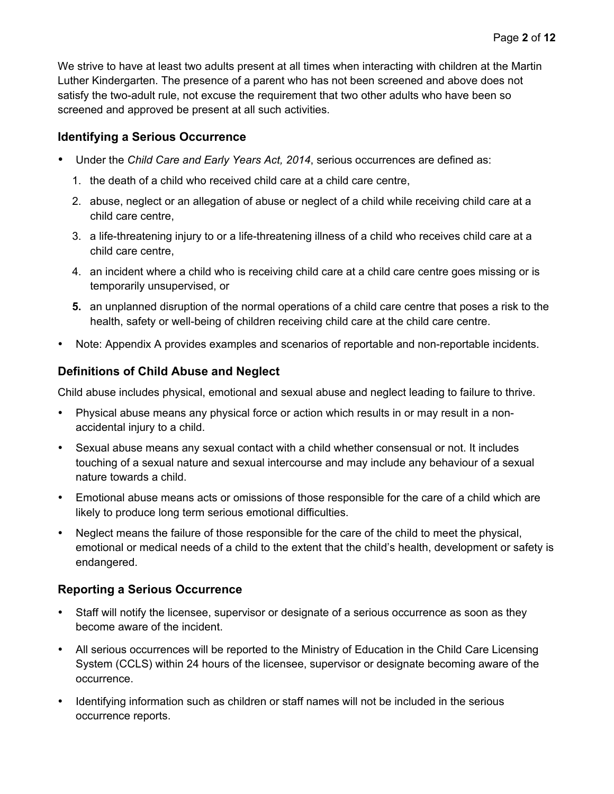We strive to have at least two adults present at all times when interacting with children at the Martin Luther Kindergarten. The presence of a parent who has not been screened and above does not satisfy the two-adult rule, not excuse the requirement that two other adults who have been so screened and approved be present at all such activities.

### **Identifying a Serious Occurrence**

- Under the *Child Care and Early Years Act, 2014*, serious occurrences are defined as:
	- 1. the death of a child who received child care at a child care centre,
	- 2. abuse, neglect or an allegation of abuse or neglect of a child while receiving child care at a child care centre,
	- 3. a life-threatening injury to or a life-threatening illness of a child who receives child care at a child care centre,
	- 4. an incident where a child who is receiving child care at a child care centre goes missing or is temporarily unsupervised, or
	- **5.** an unplanned disruption of the normal operations of a child care centre that poses a risk to the health, safety or well-being of children receiving child care at the child care centre.
- Note: Appendix A provides examples and scenarios of reportable and non-reportable incidents.

# **Definitions of Child Abuse and Neglect**

Child abuse includes physical, emotional and sexual abuse and neglect leading to failure to thrive.

- Physical abuse means any physical force or action which results in or may result in a nonaccidental injury to a child.
- Sexual abuse means any sexual contact with a child whether consensual or not. It includes touching of a sexual nature and sexual intercourse and may include any behaviour of a sexual nature towards a child.
- Emotional abuse means acts or omissions of those responsible for the care of a child which are likely to produce long term serious emotional difficulties.
- Neglect means the failure of those responsible for the care of the child to meet the physical, emotional or medical needs of a child to the extent that the child's health, development or safety is endangered.

## **Reporting a Serious Occurrence**

- Staff will notify the licensee, supervisor or designate of a serious occurrence as soon as they become aware of the incident.
- All serious occurrences will be reported to the Ministry of Education in the Child Care Licensing System (CCLS) within 24 hours of the licensee, supervisor or designate becoming aware of the occurrence.
- Identifying information such as children or staff names will not be included in the serious occurrence reports.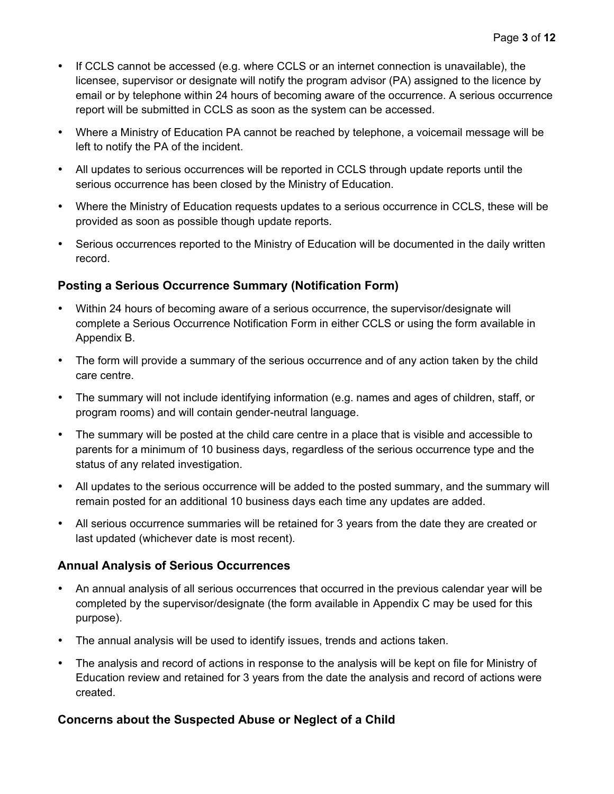- If CCLS cannot be accessed (e.g. where CCLS or an internet connection is unavailable), the licensee, supervisor or designate will notify the program advisor (PA) assigned to the licence by email or by telephone within 24 hours of becoming aware of the occurrence. A serious occurrence report will be submitted in CCLS as soon as the system can be accessed.
- Where a Ministry of Education PA cannot be reached by telephone, a voicemail message will be left to notify the PA of the incident.
- All updates to serious occurrences will be reported in CCLS through update reports until the serious occurrence has been closed by the Ministry of Education.
- Where the Ministry of Education requests updates to a serious occurrence in CCLS, these will be provided as soon as possible though update reports.
- Serious occurrences reported to the Ministry of Education will be documented in the daily written record.

### **Posting a Serious Occurrence Summary (Notification Form)**

- Within 24 hours of becoming aware of a serious occurrence, the supervisor/designate will complete a Serious Occurrence Notification Form in either CCLS or using the form available in Appendix B.
- The form will provide a summary of the serious occurrence and of any action taken by the child care centre.
- The summary will not include identifying information (e.g. names and ages of children, staff, or program rooms) and will contain gender-neutral language.
- The summary will be posted at the child care centre in a place that is visible and accessible to parents for a minimum of 10 business days, regardless of the serious occurrence type and the status of any related investigation.
- All updates to the serious occurrence will be added to the posted summary, and the summary will remain posted for an additional 10 business days each time any updates are added.
- All serious occurrence summaries will be retained for 3 years from the date they are created or last updated (whichever date is most recent).

#### **Annual Analysis of Serious Occurrences**

- An annual analysis of all serious occurrences that occurred in the previous calendar year will be completed by the supervisor/designate (the form available in Appendix C may be used for this purpose).
- The annual analysis will be used to identify issues, trends and actions taken.
- The analysis and record of actions in response to the analysis will be kept on file for Ministry of Education review and retained for 3 years from the date the analysis and record of actions were created.

#### **Concerns about the Suspected Abuse or Neglect of a Child**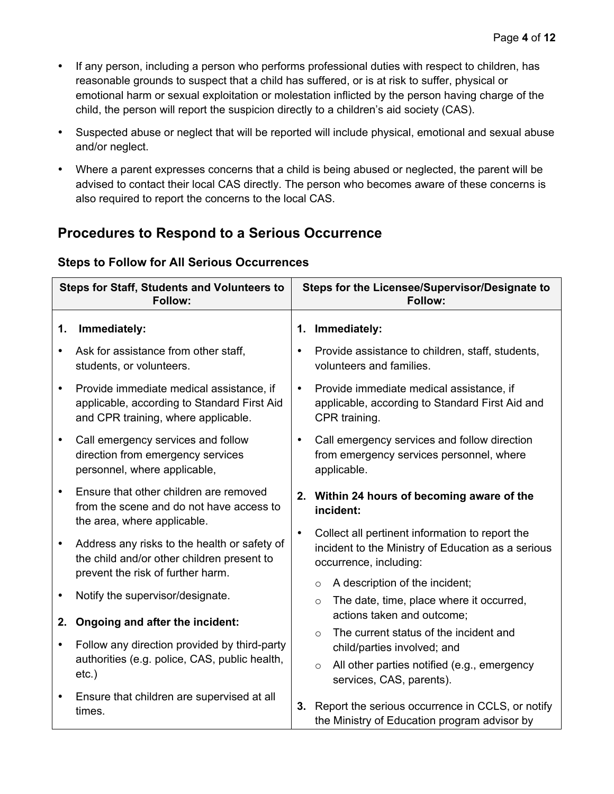- If any person, including a person who performs professional duties with respect to children, has reasonable grounds to suspect that a child has suffered, or is at risk to suffer, physical or emotional harm or sexual exploitation or molestation inflicted by the person having charge of the child, the person will report the suspicion directly to a children's aid society (CAS).
- Suspected abuse or neglect that will be reported will include physical, emotional and sexual abuse and/or neglect.
- Where a parent expresses concerns that a child is being abused or neglected, the parent will be advised to contact their local CAS directly. The person who becomes aware of these concerns is also required to report the concerns to the local CAS.

# **Procedures to Respond to a Serious Occurrence**

# **Steps to Follow for All Serious Occurrences**

| <b>Steps for Staff, Students and Volunteers to</b><br>Follow: |                                                                                                                                 | Steps for the Licensee/Supervisor/Designate to<br><b>Follow:</b> |                                                                                                                                 |
|---------------------------------------------------------------|---------------------------------------------------------------------------------------------------------------------------------|------------------------------------------------------------------|---------------------------------------------------------------------------------------------------------------------------------|
| 1.                                                            | Immediately:                                                                                                                    | 1.                                                               | Immediately:                                                                                                                    |
| $\bullet$                                                     | Ask for assistance from other staff,<br>students, or volunteers.                                                                | $\bullet$                                                        | Provide assistance to children, staff, students,<br>volunteers and families.                                                    |
| $\bullet$                                                     | Provide immediate medical assistance, if<br>applicable, according to Standard First Aid<br>and CPR training, where applicable.  | $\bullet$                                                        | Provide immediate medical assistance, if<br>applicable, according to Standard First Aid and<br>CPR training.                    |
| $\bullet$                                                     | Call emergency services and follow<br>direction from emergency services<br>personnel, where applicable,                         | $\bullet$                                                        | Call emergency services and follow direction<br>from emergency services personnel, where<br>applicable.                         |
| $\bullet$                                                     | Ensure that other children are removed<br>from the scene and do not have access to<br>the area, where applicable.               |                                                                  | 2. Within 24 hours of becoming aware of the<br>incident:                                                                        |
| $\bullet$                                                     | Address any risks to the health or safety of<br>the child and/or other children present to<br>prevent the risk of further harm. | $\bullet$                                                        | Collect all pertinent information to report the<br>incident to the Ministry of Education as a serious<br>occurrence, including: |
| $\bullet$                                                     | Notify the supervisor/designate.                                                                                                |                                                                  | A description of the incident;<br>$\circ$<br>The date, time, place where it occurred,<br>$\circ$                                |
| 2.                                                            | Ongoing and after the incident:                                                                                                 |                                                                  | actions taken and outcome;<br>The current status of the incident and<br>$\Omega$                                                |
| $\bullet$                                                     | Follow any direction provided by third-party                                                                                    |                                                                  | child/parties involved; and                                                                                                     |
|                                                               | authorities (e.g. police, CAS, public health,<br>$etc.$ )                                                                       |                                                                  | All other parties notified (e.g., emergency<br>$\circ$<br>services, CAS, parents).                                              |
| $\bullet$                                                     | Ensure that children are supervised at all<br>times.                                                                            | 3.                                                               | Report the serious occurrence in CCLS, or notify<br>the Ministry of Education program advisor by                                |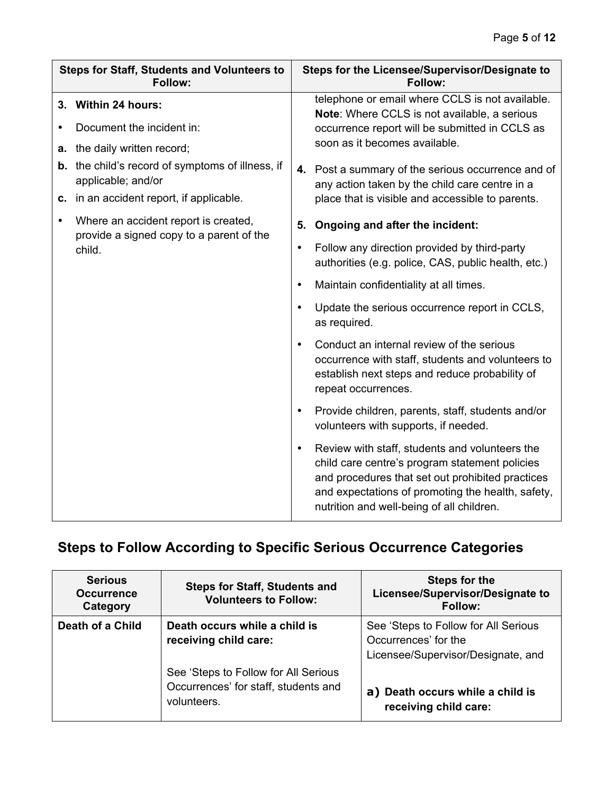| Steps for Staff, Students and Volunteers to<br>Follow: |                                                                                  | Steps for the Licensee/Supervisor/Designate to<br>Follow: |                                                                                                                                                                                                                                                        |
|--------------------------------------------------------|----------------------------------------------------------------------------------|-----------------------------------------------------------|--------------------------------------------------------------------------------------------------------------------------------------------------------------------------------------------------------------------------------------------------------|
|                                                        | 3. Within 24 hours:                                                              |                                                           | telephone or email where CCLS is not available.<br>Note: Where CCLS is not available, a serious                                                                                                                                                        |
|                                                        | Document the incident in:                                                        | soon as it becomes available.                             | occurrence report will be submitted in CCLS as                                                                                                                                                                                                         |
|                                                        | a. the daily written record;                                                     |                                                           |                                                                                                                                                                                                                                                        |
|                                                        | <b>b.</b> the child's record of symptoms of illness, if<br>applicable; and/or    |                                                           | 4. Post a summary of the serious occurrence and of<br>any action taken by the child care centre in a                                                                                                                                                   |
|                                                        | c. in an accident report, if applicable.                                         |                                                           | place that is visible and accessible to parents.                                                                                                                                                                                                       |
| $\bullet$                                              | Where an accident report is created,<br>provide a signed copy to a parent of the | 5.                                                        | Ongoing and after the incident:                                                                                                                                                                                                                        |
|                                                        | child.                                                                           | $\bullet$                                                 | Follow any direction provided by third-party<br>authorities (e.g. police, CAS, public health, etc.)                                                                                                                                                    |
|                                                        |                                                                                  | $\bullet$                                                 | Maintain confidentiality at all times.                                                                                                                                                                                                                 |
|                                                        |                                                                                  | $\bullet$                                                 | Update the serious occurrence report in CCLS,<br>as required.                                                                                                                                                                                          |
|                                                        | $\bullet$<br>$\bullet$<br>$\bullet$                                              |                                                           | Conduct an internal review of the serious<br>occurrence with staff, students and volunteers to<br>establish next steps and reduce probability of<br>repeat occurrences.                                                                                |
|                                                        |                                                                                  |                                                           | Provide children, parents, staff, students and/or<br>volunteers with supports, if needed.                                                                                                                                                              |
|                                                        |                                                                                  |                                                           | Review with staff, students and volunteers the<br>child care centre's program statement policies<br>and procedures that set out prohibited practices<br>and expectations of promoting the health, safety,<br>nutrition and well-being of all children. |

# **Steps to Follow According to Specific Serious Occurrence Categories**

| <b>Serious</b><br><b>Occurrence</b><br>Category | <b>Steps for Staff, Students and</b><br><b>Volunteers to Follow:</b>                        | Steps for the<br>Licensee/Supervisor/Designate to<br><b>Follow:</b>                                |
|-------------------------------------------------|---------------------------------------------------------------------------------------------|----------------------------------------------------------------------------------------------------|
| Death of a Child                                | Death occurs while a child is<br>receiving child care:                                      | See 'Steps to Follow for All Serious<br>Occurrences' for the<br>Licensee/Supervisor/Designate, and |
|                                                 | See 'Steps to Follow for All Serious<br>Occurrences' for staff, students and<br>volunteers. | a) Death occurs while a child is<br>receiving child care:                                          |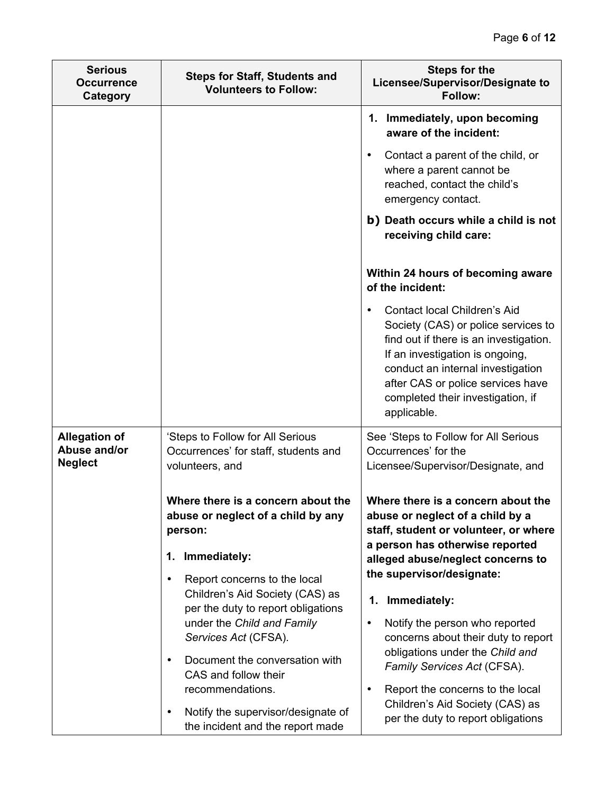| <b>Serious</b><br><b>Occurrence</b><br>Category        | <b>Steps for Staff, Students and</b><br><b>Volunteers to Follow:</b>                                                                                                                                                                                                                                                                                                                                                                                                                                                                                   | <b>Steps for the</b><br>Licensee/Supervisor/Designate to<br>Follow:                                                                                                                                                                                                                                                                                                                                                                                                                                                                                                                                                                |
|--------------------------------------------------------|--------------------------------------------------------------------------------------------------------------------------------------------------------------------------------------------------------------------------------------------------------------------------------------------------------------------------------------------------------------------------------------------------------------------------------------------------------------------------------------------------------------------------------------------------------|------------------------------------------------------------------------------------------------------------------------------------------------------------------------------------------------------------------------------------------------------------------------------------------------------------------------------------------------------------------------------------------------------------------------------------------------------------------------------------------------------------------------------------------------------------------------------------------------------------------------------------|
|                                                        |                                                                                                                                                                                                                                                                                                                                                                                                                                                                                                                                                        | 1. Immediately, upon becoming<br>aware of the incident:<br>Contact a parent of the child, or<br>$\bullet$<br>where a parent cannot be<br>reached, contact the child's<br>emergency contact.<br>b) Death occurs while a child is not<br>receiving child care:<br>Within 24 hours of becoming aware<br>of the incident:<br>Contact local Children's Aid<br>$\bullet$<br>Society (CAS) or police services to<br>find out if there is an investigation.<br>If an investigation is ongoing,<br>conduct an internal investigation<br>after CAS or police services have<br>completed their investigation, if<br>applicable.               |
| <b>Allegation of</b><br>Abuse and/or<br><b>Neglect</b> | 'Steps to Follow for All Serious<br>Occurrences' for staff, students and<br>volunteers, and<br>Where there is a concern about the<br>abuse or neglect of a child by any<br>person:<br>Immediately:<br>1.<br>Report concerns to the local<br>٠<br>Children's Aid Society (CAS) as<br>per the duty to report obligations<br>under the Child and Family<br>Services Act (CFSA).<br>Document the conversation with<br>$\bullet$<br>CAS and follow their<br>recommendations.<br>Notify the supervisor/designate of<br>٠<br>the incident and the report made | See 'Steps to Follow for All Serious<br>Occurrences' for the<br>Licensee/Supervisor/Designate, and<br>Where there is a concern about the<br>abuse or neglect of a child by a<br>staff, student or volunteer, or where<br>a person has otherwise reported<br>alleged abuse/neglect concerns to<br>the supervisor/designate:<br>Immediately:<br>1.<br>Notify the person who reported<br>$\bullet$<br>concerns about their duty to report<br>obligations under the Child and<br>Family Services Act (CFSA).<br>Report the concerns to the local<br>$\bullet$<br>Children's Aid Society (CAS) as<br>per the duty to report obligations |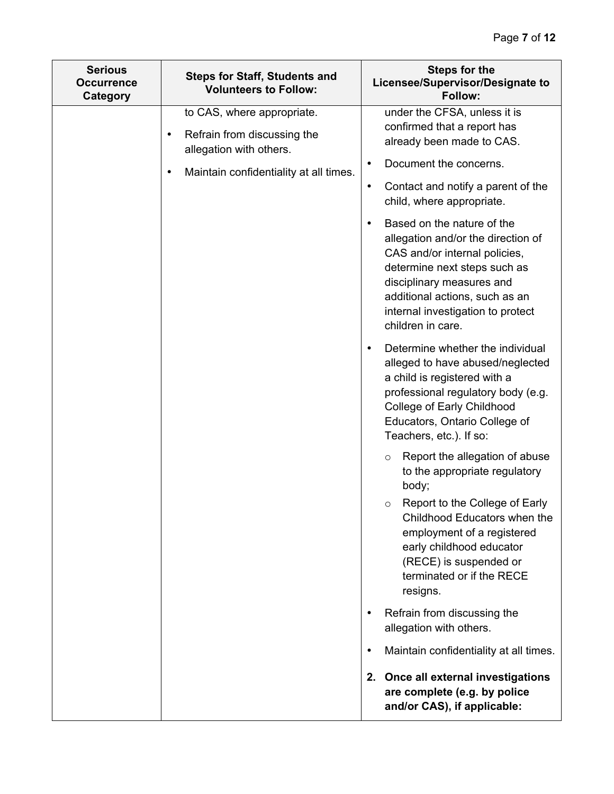| <b>Serious</b><br><b>Steps for Staff, Students and</b><br><b>Occurrence</b><br><b>Volunteers to Follow:</b><br>Category |                                                                     | <b>Steps for the</b><br>Licensee/Supervisor/Designate to<br>Follow:                                                                                                                                                                                        |
|-------------------------------------------------------------------------------------------------------------------------|---------------------------------------------------------------------|------------------------------------------------------------------------------------------------------------------------------------------------------------------------------------------------------------------------------------------------------------|
|                                                                                                                         | to CAS, where appropriate.                                          | under the CFSA, unless it is                                                                                                                                                                                                                               |
|                                                                                                                         | Refrain from discussing the<br>$\bullet$<br>allegation with others. | confirmed that a report has<br>already been made to CAS.                                                                                                                                                                                                   |
|                                                                                                                         | Maintain confidentiality at all times.<br>$\bullet$                 | Document the concerns.                                                                                                                                                                                                                                     |
|                                                                                                                         |                                                                     | Contact and notify a parent of the<br>$\bullet$<br>child, where appropriate.                                                                                                                                                                               |
|                                                                                                                         |                                                                     | Based on the nature of the<br>allegation and/or the direction of<br>CAS and/or internal policies,<br>determine next steps such as<br>disciplinary measures and<br>additional actions, such as an<br>internal investigation to protect<br>children in care. |
|                                                                                                                         |                                                                     | Determine whether the individual<br>alleged to have abused/neglected<br>a child is registered with a<br>professional regulatory body (e.g.<br>College of Early Childhood<br>Educators, Ontario College of<br>Teachers, etc.). If so:                       |
|                                                                                                                         |                                                                     | Report the allegation of abuse<br>$\circ$<br>to the appropriate regulatory<br>body;                                                                                                                                                                        |
|                                                                                                                         |                                                                     | Report to the College of Early<br>$\circ$<br>Childhood Educators when the<br>employment of a registered<br>early childhood educator<br>(RECE) is suspended or<br>terminated or if the RECE<br>resigns.                                                     |
|                                                                                                                         |                                                                     | Refrain from discussing the<br>allegation with others.                                                                                                                                                                                                     |
|                                                                                                                         |                                                                     | Maintain confidentiality at all times.<br>$\bullet$                                                                                                                                                                                                        |
|                                                                                                                         |                                                                     | 2. Once all external investigations<br>are complete (e.g. by police<br>and/or CAS), if applicable:                                                                                                                                                         |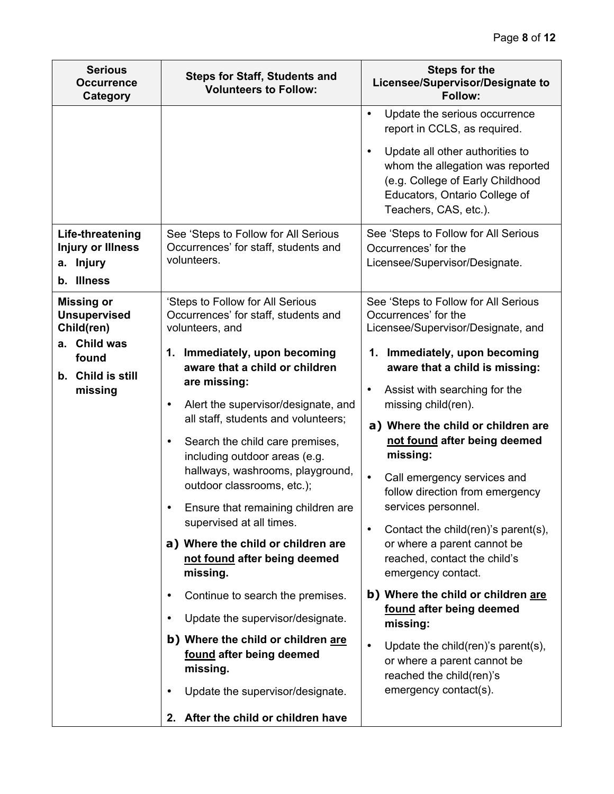| <b>Serious</b><br><b>Steps for Staff, Students and</b><br><b>Occurrence</b><br><b>Volunteers to Follow:</b><br>Category |                                                                                                                                                                                                                                                                                                                                                                                                                                                                                                                                                                                                                                                                                                                                                                                                                                                     | <b>Steps for the</b><br>Licensee/Supervisor/Designate to<br>Follow:                                                                                                                                                                                                                                                                                                                                                                                                                                                                                                                                                                                                                                                                                                                              |
|-------------------------------------------------------------------------------------------------------------------------|-----------------------------------------------------------------------------------------------------------------------------------------------------------------------------------------------------------------------------------------------------------------------------------------------------------------------------------------------------------------------------------------------------------------------------------------------------------------------------------------------------------------------------------------------------------------------------------------------------------------------------------------------------------------------------------------------------------------------------------------------------------------------------------------------------------------------------------------------------|--------------------------------------------------------------------------------------------------------------------------------------------------------------------------------------------------------------------------------------------------------------------------------------------------------------------------------------------------------------------------------------------------------------------------------------------------------------------------------------------------------------------------------------------------------------------------------------------------------------------------------------------------------------------------------------------------------------------------------------------------------------------------------------------------|
|                                                                                                                         |                                                                                                                                                                                                                                                                                                                                                                                                                                                                                                                                                                                                                                                                                                                                                                                                                                                     | Update the serious occurrence<br>$\bullet$<br>report in CCLS, as required.<br>Update all other authorities to<br>$\bullet$<br>whom the allegation was reported<br>(e.g. College of Early Childhood<br>Educators, Ontario College of<br>Teachers, CAS, etc.).                                                                                                                                                                                                                                                                                                                                                                                                                                                                                                                                     |
| Life-threatening<br><b>Injury or Illness</b><br>a. Injury<br>b. Illness                                                 | See 'Steps to Follow for All Serious<br>Occurrences' for staff, students and<br>volunteers.                                                                                                                                                                                                                                                                                                                                                                                                                                                                                                                                                                                                                                                                                                                                                         | See 'Steps to Follow for All Serious<br>Occurrences' for the<br>Licensee/Supervisor/Designate.                                                                                                                                                                                                                                                                                                                                                                                                                                                                                                                                                                                                                                                                                                   |
| <b>Missing or</b><br><b>Unsupervised</b><br>Child(ren)<br>a. Child was<br>found<br>b. Child is still<br>missing         | 'Steps to Follow for All Serious<br>Occurrences' for staff, students and<br>volunteers, and<br>1. Immediately, upon becoming<br>aware that a child or children<br>are missing:<br>Alert the supervisor/designate, and<br>٠<br>all staff, students and volunteers;<br>Search the child care premises,<br>$\bullet$<br>including outdoor areas (e.g.<br>hallways, washrooms, playground,<br>outdoor classrooms, etc.);<br>Ensure that remaining children are<br>supervised at all times.<br>a) Where the child or children are<br>not found after being deemed<br>missing.<br>Continue to search the premises.<br>$\bullet$<br>Update the supervisor/designate.<br>$\bullet$<br>b) Where the child or children are<br>found after being deemed<br>missing.<br>Update the supervisor/designate.<br>$\bullet$<br>After the child or children have<br>2. | See 'Steps to Follow for All Serious<br>Occurrences' for the<br>Licensee/Supervisor/Designate, and<br>1. Immediately, upon becoming<br>aware that a child is missing:<br>Assist with searching for the<br>$\bullet$<br>missing child(ren).<br>a) Where the child or children are<br>not found after being deemed<br>missing:<br>Call emergency services and<br>$\bullet$<br>follow direction from emergency<br>services personnel.<br>Contact the child(ren)'s parent(s),<br>$\bullet$<br>or where a parent cannot be<br>reached, contact the child's<br>emergency contact.<br>b) Where the child or children are<br>found after being deemed<br>missing:<br>Update the child(ren)'s parent(s),<br>$\bullet$<br>or where a parent cannot be<br>reached the child(ren)'s<br>emergency contact(s). |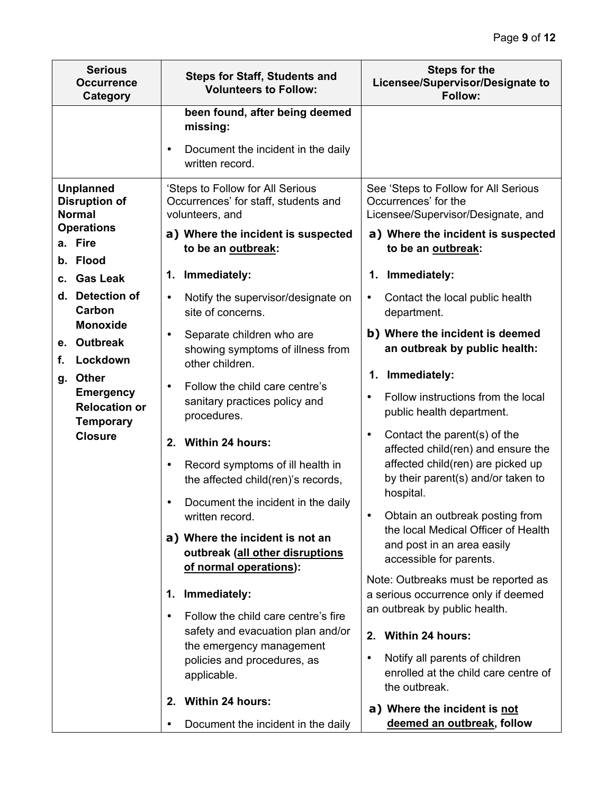| <b>Serious</b><br><b>Occurrence</b><br><b>Category</b>                                                                                                      | <b>Steps for Staff, Students and</b><br><b>Volunteers to Follow:</b>                                                                                                                                                                                                                                                                                                                                                                                                                                                                                         | <b>Steps for the</b><br>Licensee/Supervisor/Designate to<br>Follow:                                                                                                                                                                                                                                                                                                                                                                                                                                                                                                                              |
|-------------------------------------------------------------------------------------------------------------------------------------------------------------|--------------------------------------------------------------------------------------------------------------------------------------------------------------------------------------------------------------------------------------------------------------------------------------------------------------------------------------------------------------------------------------------------------------------------------------------------------------------------------------------------------------------------------------------------------------|--------------------------------------------------------------------------------------------------------------------------------------------------------------------------------------------------------------------------------------------------------------------------------------------------------------------------------------------------------------------------------------------------------------------------------------------------------------------------------------------------------------------------------------------------------------------------------------------------|
|                                                                                                                                                             | been found, after being deemed<br>missing:<br>Document the incident in the daily<br>٠<br>written record.                                                                                                                                                                                                                                                                                                                                                                                                                                                     |                                                                                                                                                                                                                                                                                                                                                                                                                                                                                                                                                                                                  |
| <b>Unplanned</b><br><b>Disruption of</b><br><b>Normal</b><br><b>Operations</b><br>a. Fire<br>b. Flood<br><b>Gas Leak</b><br>C.<br>d. Detection of<br>Carbon | 'Steps to Follow for All Serious<br>Occurrences' for staff, students and<br>volunteers, and<br>a) Where the incident is suspected<br>to be an outbreak:<br>1. Immediately:<br>Notify the supervisor/designate on<br>$\bullet$<br>site of concerns.                                                                                                                                                                                                                                                                                                           | See 'Steps to Follow for All Serious<br>Occurrences' for the<br>Licensee/Supervisor/Designate, and<br>a) Where the incident is suspected<br>to be an outbreak:<br>1. Immediately:<br>Contact the local public health<br>$\bullet$<br>department.                                                                                                                                                                                                                                                                                                                                                 |
| <b>Monoxide</b><br>e. Outbreak<br>Lockdown<br>f.<br><b>Other</b><br>g.<br><b>Emergency</b><br><b>Relocation or</b><br><b>Temporary</b><br><b>Closure</b>    | Separate children who are<br>$\bullet$<br>showing symptoms of illness from<br>other children.<br>Follow the child care centre's<br>$\bullet$<br>sanitary practices policy and<br>procedures.<br><b>Within 24 hours:</b><br>2.<br>Record symptoms of ill health in<br>٠<br>the affected child(ren)'s records,<br>Document the incident in the daily<br>$\bullet$<br>written record.<br>a) Where the incident is not an<br>outbreak (all other disruptions<br>of normal operations):<br>Immediately:<br>1.<br>Follow the child care centre's fire<br>$\bullet$ | b) Where the incident is deemed<br>an outbreak by public health:<br>1. Immediately:<br>Follow instructions from the local<br>$\bullet$<br>public health department.<br>Contact the parent(s) of the<br>$\bullet$<br>affected child(ren) and ensure the<br>affected child(ren) are picked up<br>by their parent(s) and/or taken to<br>hospital.<br>Obtain an outbreak posting from<br>the local Medical Officer of Health<br>and post in an area easily<br>accessible for parents.<br>Note: Outbreaks must be reported as<br>a serious occurrence only if deemed<br>an outbreak by public health. |
|                                                                                                                                                             | safety and evacuation plan and/or<br>the emergency management<br>policies and procedures, as<br>applicable.<br><b>Within 24 hours:</b><br>2.<br>Document the incident in the daily<br>٠                                                                                                                                                                                                                                                                                                                                                                      | <b>Within 24 hours:</b><br>2.<br>Notify all parents of children<br>$\bullet$<br>enrolled at the child care centre of<br>the outbreak.<br>a) Where the incident is not<br>deemed an outbreak, follow                                                                                                                                                                                                                                                                                                                                                                                              |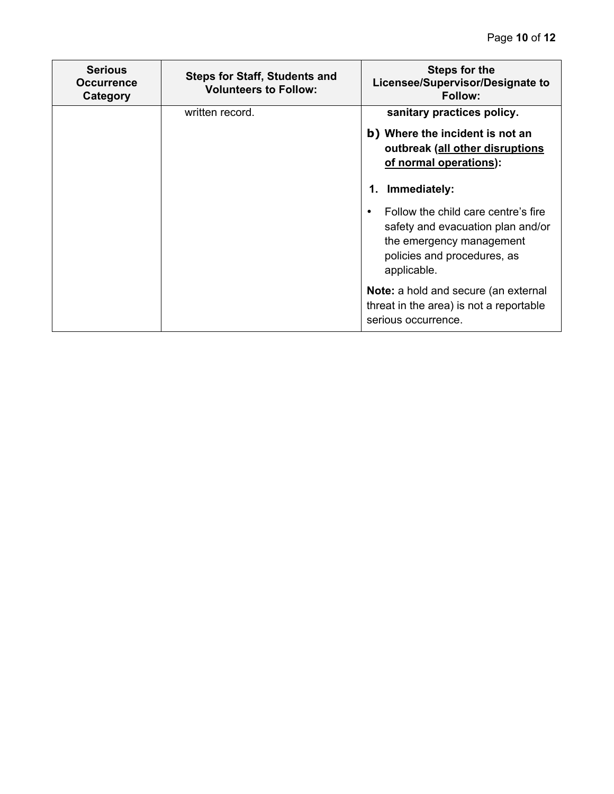| <b>Serious</b><br><b>Occurrence</b><br>Category | <b>Steps for Staff, Students and</b><br><b>Volunteers to Follow:</b> | <b>Steps for the</b><br>Licensee/Supervisor/Designate to<br><b>Follow:</b>                                                                         |
|-------------------------------------------------|----------------------------------------------------------------------|----------------------------------------------------------------------------------------------------------------------------------------------------|
|                                                 | written record.                                                      | sanitary practices policy.<br>b) Where the incident is not an<br>outbreak (all other disruptions<br>of normal operations):                         |
|                                                 |                                                                      | Immediately:<br>1.                                                                                                                                 |
|                                                 |                                                                      | Follow the child care centre's fire<br>safety and evacuation plan and/or<br>the emergency management<br>policies and procedures, as<br>applicable. |
|                                                 |                                                                      | Note: a hold and secure (an external<br>threat in the area) is not a reportable<br>serious occurrence.                                             |